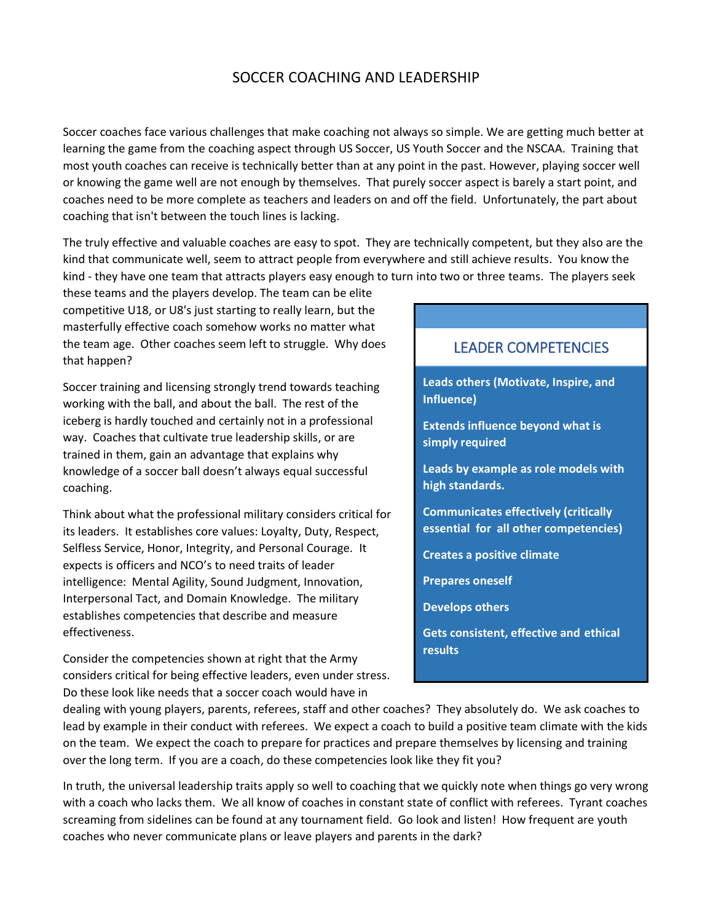## SOCCER COACHING AND LEADERSHIP

Soccer coaches face various challenges that make coaching not always so simple. We are getting much better at learning the game from the coaching aspect through US Soccer, US Youth Soccer and the NSCAA. Training that most youth coaches can receive is technically better than at any point in the past. However, playing soccer well or knowing the game well are not enough by themselves. That purely soccer aspect is barely a start point, and coaches need to be more complete as teachers and leaders on and off the field. Unfortunately, the part about coaching that isn't between the touch lines is lacking.

The truly effective and valuable coaches are easy to spot. They are technically competent, but they also are the kind that communicate well, seem to attract people from everywhere and still achieve results. You know the kind - they have one team that attracts players easy enough to turn into two or three teams. The players seek

these teams and the players develop. The team can be elite competitive U18, or U8's just starting to really learn, but the masterfully effective coach somehow works no matter what the team age. Other coaches seem left to struggle. Why does that happen?

Soccer training and licensing strongly trend towards teaching working with the ball, and about the ball. The rest of the iceberg is hardly touched and certainly not in a professional way. Coaches that cultivate true leadership skills, or are trained in them, gain an advantage that explains why knowledge of a soccer ball doesn't always equal successful coaching.

Think about what the professional military considers critical for its leaders. It establishes core values: Loyalty, Duty, Respect, Selfless Service, Honor, Integrity, and Personal Courage. It expects is officers and NCO's to need traits of leader intelligence: Mental Agility, Sound Judgment, Innovation, Interpersonal Tact, and Domain Knowledge. The military establishes competencies that describe and measure effectiveness.

Consider the competencies shown at right that the Army considers critical for being effective leaders, even under stress. Do these look like needs that a soccer coach would have in

## LEADER COMPETENCIES

**Leads others (Motivate, Inspire, and Influence)**

**Extends influence beyond what is simply required**

**Leads by example as role models with high standards.**

**Communicates effectively (critically essential for all other competencies)**

**Creates a positive climate**

**Prepares oneself**

**Develops others**

**Gets consistent, effective and ethical results**

dealing with young players, parents, referees, staff and other coaches? They absolutely do. We ask coaches to lead by example in their conduct with referees. We expect a coach to build a positive team climate with the kids on the team. We expect the coach to prepare for practices and prepare themselves by licensing and training over the long term. If you are a coach, do these competencies look like they fit you?

In truth, the universal leadership traits apply so well to coaching that we quickly note when things go very wrong with a coach who lacks them. We all know of coaches in constant state of conflict with referees. Tyrant coaches screaming from sidelines can be found at any tournament field. Go look and listen! How frequent are youth coaches who never communicate plans or leave players and parents in the dark?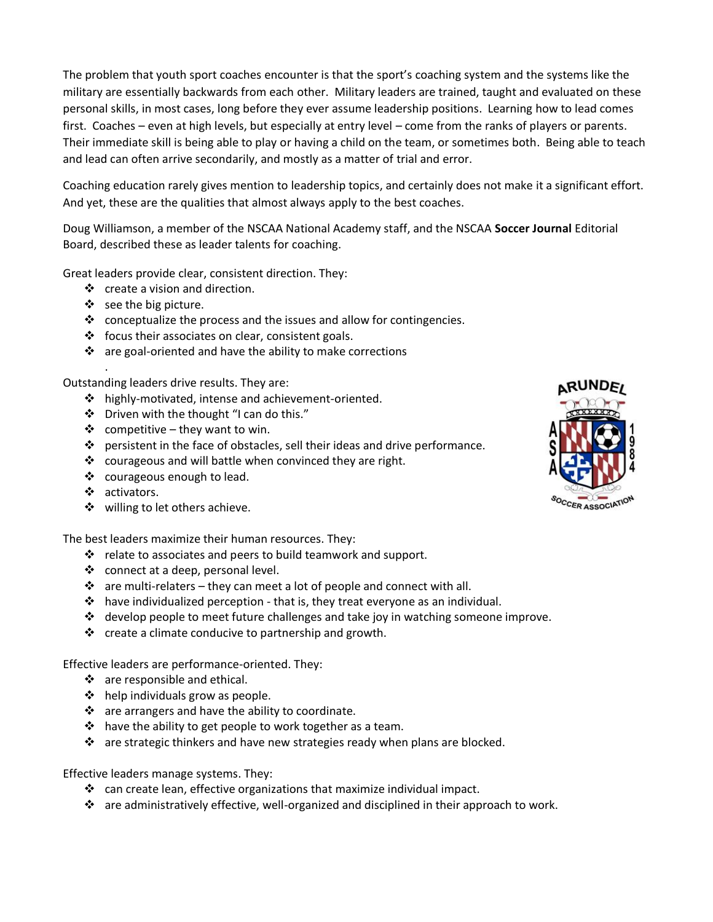The problem that youth sport coaches encounter is that the sport's coaching system and the systems like the military are essentially backwards from each other. Military leaders are trained, taught and evaluated on these personal skills, in most cases, long before they ever assume leadership positions. Learning how to lead comes first. Coaches – even at high levels, but especially at entry level – come from the ranks of players or parents. Their immediate skill is being able to play or having a child on the team, or sometimes both. Being able to teach and lead can often arrive secondarily, and mostly as a matter of trial and error.

Coaching education rarely gives mention to leadership topics, and certainly does not make it a significant effort. And yet, these are the qualities that almost always apply to the best coaches.

Doug Williamson, a member of the NSCAA National Academy staff, and the NSCAA **Soccer Journal** Editorial Board, described these as leader talents for coaching.

Great leaders provide clear, consistent direction. They:

- ❖ create a vision and direction.
- $\div$  see the big picture.
- $\cdot \cdot$  conceptualize the process and the issues and allow for contingencies.
- $\div$  focus their associates on clear, consistent goals.
- $\div$  are goal-oriented and have the ability to make corrections

Outstanding leaders drive results. They are:

- ❖ highly-motivated, intense and achievement-oriented.
- Driven with the thought "I can do this."
- $\div$  competitive they want to win.
- $\cdot \cdot$  persistent in the face of obstacles, sell their ideas and drive performance.
- ❖ courageous and will battle when convinced they are right.
- courageous enough to lead.
- ❖ activators.

.

❖ willing to let others achieve.

The best leaders maximize their human resources. They:

- $\cdot \cdot$  relate to associates and peers to build teamwork and support.
- ❖ connect at a deep, personal level.
- $\cdot \cdot$  are multi-relaters they can meet a lot of people and connect with all.
- $\cdot \cdot$  have individualized perception that is, they treat everyone as an individual.
- $\clubsuit$  develop people to meet future challenges and take joy in watching someone improve.
- $\div$  create a climate conducive to partnership and growth.

Effective leaders are performance-oriented. They:

- are responsible and ethical.
- $\triangleleft$  help individuals grow as people.
- $\cdot \cdot$  are arrangers and have the ability to coordinate.
- $\cdot \cdot$  have the ability to get people to work together as a team.
- \* are strategic thinkers and have new strategies ready when plans are blocked.

Effective leaders manage systems. They:

- $\cdot$  can create lean, effective organizations that maximize individual impact.
- are administratively effective, well-organized and disciplined in their approach to work.

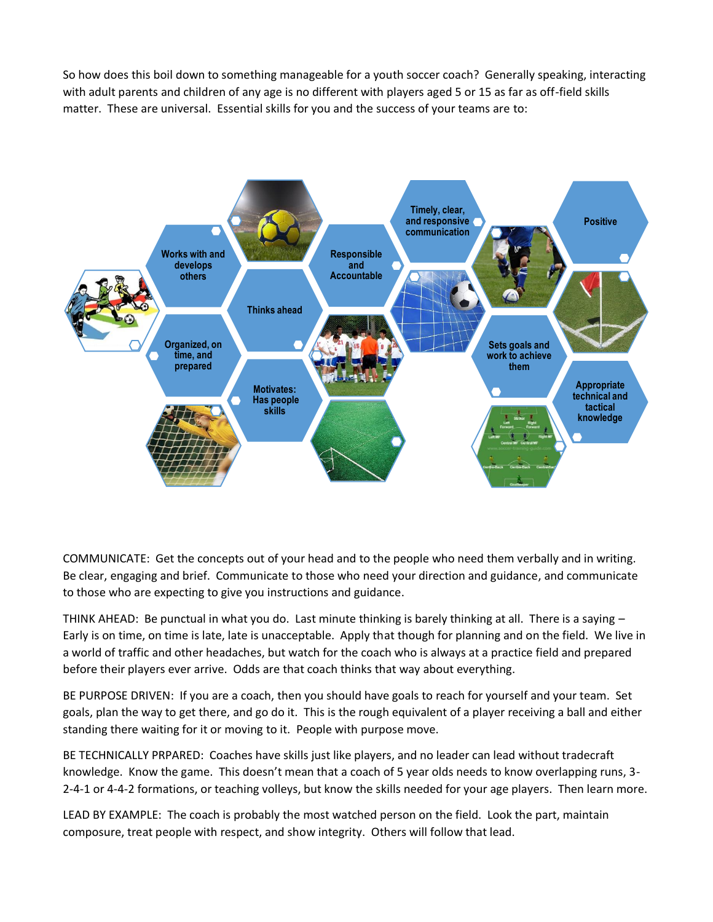So how does this boil down to something manageable for a youth soccer coach? Generally speaking, interacting with adult parents and children of any age is no different with players aged 5 or 15 as far as off-field skills matter. These are universal. Essential skills for you and the success of your teams are to:



COMMUNICATE: Get the concepts out of your head and to the people who need them verbally and in writing. Be clear, engaging and brief. Communicate to those who need your direction and guidance, and communicate to those who are expecting to give you instructions and guidance.

THINK AHEAD: Be punctual in what you do. Last minute thinking is barely thinking at all. There is a saying – Early is on time, on time is late, late is unacceptable. Apply that though for planning and on the field. We live in a world of traffic and other headaches, but watch for the coach who is always at a practice field and prepared before their players ever arrive. Odds are that coach thinks that way about everything.

BE PURPOSE DRIVEN: If you are a coach, then you should have goals to reach for yourself and your team. Set goals, plan the way to get there, and go do it. This is the rough equivalent of a player receiving a ball and either standing there waiting for it or moving to it. People with purpose move.

BE TECHNICALLY PRPARED: Coaches have skills just like players, and no leader can lead without tradecraft knowledge. Know the game. This doesn't mean that a coach of 5 year olds needs to know overlapping runs, 3- 2-4-1 or 4-4-2 formations, or teaching volleys, but know the skills needed for your age players. Then learn more.

LEAD BY EXAMPLE: The coach is probably the most watched person on the field. Look the part, maintain composure, treat people with respect, and show integrity. Others will follow that lead.